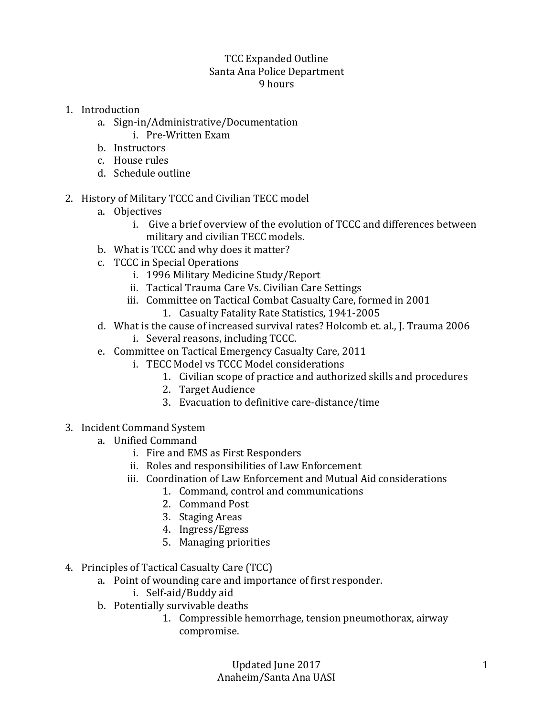## TCC Expanded Outline Santa Ana Police Department 9 hours

- 1. Introduction
	- a. Sign-in/Administrative/Documentation
		- i. Pre-Written Exam
	- b. Instructors
	- c. House rules
	- d. Schedule outline
- 2. History of Military TCCC and Civilian TECC model
	- a. Objectives
		- i. Give a brief overview of the evolution of TCCC and differences between military and civilian TECC models.
	- b. What is TCCC and why does it matter?
	- c. TCCC in Special Operations
		- i. 1996 Military Medicine Study/Report
		- ii. Tactical Trauma Care Vs. Civilian Care Settings
		- iii. Committee on Tactical Combat Casualty Care, formed in 2001
			- 1. Casualty Fatality Rate Statistics, 1941-2005
	- d. What is the cause of increased survival rates? Holcomb et. al., J. Trauma 2006 i. Several reasons, including TCCC.
	- e. Committee on Tactical Emergency Casualty Care, 2011
		- i. TECC Model vs TCCC Model considerations
			- 1. Civilian scope of practice and authorized skills and procedures
			- 2. Target Audience
			- 3. Evacuation to definitive care-distance/time
- 3. Incident Command System
	- a. Unified Command
		- i. Fire and EMS as First Responders
		- ii. Roles and responsibilities of Law Enforcement
		- iii. Coordination of Law Enforcement and Mutual Aid considerations
			- 1. Command, control and communications
			- 2. Command Post
			- 3. Staging Areas
			- 4. Ingress/Egress
			- 5. Managing priorities
- 4. Principles of Tactical Casualty Care (TCC)
	- a. Point of wounding care and importance of first responder.
		- i. Self-aid/Buddy aid
	- b. Potentially survivable deaths
		- 1. Compressible hemorrhage, tension pneumothorax, airway compromise.

Updated June 2017 Anaheim/Santa Ana UASI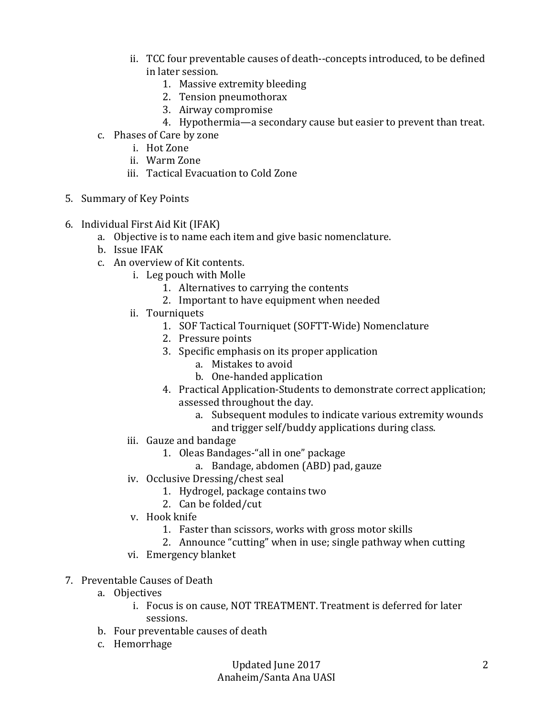- ii. TCC four preventable causes of death--concepts introduced, to be defined in later session.
	- 1. Massive extremity bleeding
	- 2. Tension pneumothorax
	- 3. Airway compromise
	- 4. Hypothermia—a secondary cause but easier to prevent than treat.
- c. Phases of Care by zone
	- i. Hot Zone
	- ii. Warm Zone
	- iii. Tactical Evacuation to Cold Zone
- 5. Summary of Key Points
- 6. Individual First Aid Kit (IFAK)
	- a. Objective is to name each item and give basic nomenclature.
	- b. Issue IFAK
	- c. An overview of Kit contents.
		- i. Leg pouch with Molle
			- 1. Alternatives to carrying the contents
			- 2. Important to have equipment when needed
		- ii. Tourniquets
			- 1. SOF Tactical Tourniquet (SOFTT-Wide) Nomenclature
			- 2. Pressure points
			- 3. Specific emphasis on its proper application
				- a. Mistakes to avoid
				- b. One-handed application
			- 4. Practical Application-Students to demonstrate correct application; assessed throughout the day.
				- a. Subsequent modules to indicate various extremity wounds and trigger self/buddy applications during class.
		- iii. Gauze and bandage
			- 1. Oleas Bandages-"all in one" package
				- a. Bandage, abdomen (ABD) pad, gauze
		- iv. Occlusive Dressing/chest seal
			- 1. Hydrogel, package contains two
			- 2. Can be folded/cut
		- v. Hook knife
			- 1. Faster than scissors, works with gross motor skills
			- 2. Announce "cutting" when in use; single pathway when cutting
		- vi. Emergency blanket
- 7. Preventable Causes of Death
	- a. Objectives
		- i. Focus is on cause, NOT TREATMENT. Treatment is deferred for later sessions.
	- b. Four preventable causes of death
	- c. Hemorrhage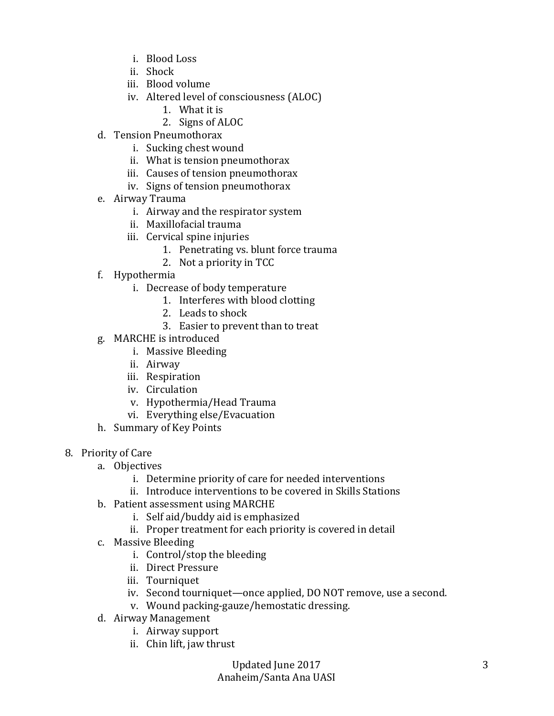- i. Blood Loss
- ii. Shock
- iii. Blood volume
- iv. Altered level of consciousness (ALOC)
	- 1. What it is
	- 2. Signs of ALOC
- d. Tension Pneumothorax
	- i. Sucking chest wound
	- ii. What is tension pneumothorax
	- iii. Causes of tension pneumothorax
	- iv. Signs of tension pneumothorax
- e. Airway Trauma
	- i. Airway and the respirator system
	- ii. Maxillofacial trauma
	- iii. Cervical spine injuries
		- 1. Penetrating vs. blunt force trauma
		- 2. Not a priority in TCC
- f. Hypothermia
	- i. Decrease of body temperature
		- 1. Interferes with blood clotting
		- 2. Leads to shock
		- 3. Easier to prevent than to treat
- g. MARCHE is introduced
	- i. Massive Bleeding
	- ii. Airway
	- iii. Respiration
	- iv. Circulation
	- v. Hypothermia/Head Trauma
	- vi. Everything else/Evacuation
- h. Summary of Key Points
- 8. Priority of Care
	- a. Objectives
		- i. Determine priority of care for needed interventions
		- ii. Introduce interventions to be covered in Skills Stations
	- b. Patient assessment using MARCHE
		- i. Self aid/buddy aid is emphasized
		- ii. Proper treatment for each priority is covered in detail
	- c. Massive Bleeding
		- i. Control/stop the bleeding
		- ii. Direct Pressure
		- iii. Tourniquet
		- iv. Second tourniquet—once applied, DO NOT remove, use a second.
		- v. Wound packing-gauze/hemostatic dressing.
	- d. Airway Management
		- i. Airway support
		- ii. Chin lift, jaw thrust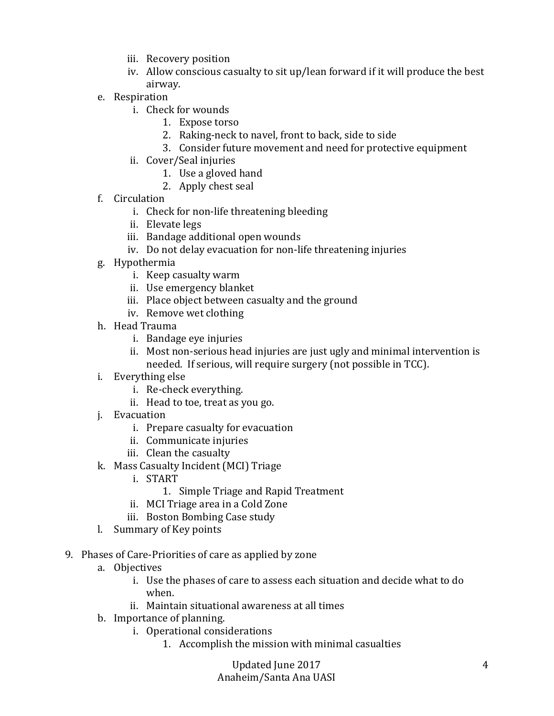- iii. Recovery position
- iv. Allow conscious casualty to sit up/lean forward if it will produce the best airway.
- e. Respiration
	- i. Check for wounds
		- 1. Expose torso
		- 2. Raking-neck to navel, front to back, side to side
		- 3. Consider future movement and need for protective equipment
	- ii. Cover/Seal injuries
		- 1. Use a gloved hand
		- 2. Apply chest seal
- f. Circulation
	- i. Check for non-life threatening bleeding
	- ii. Elevate legs
	- iii. Bandage additional open wounds
	- iv. Do not delay evacuation for non-life threatening injuries
- g. Hypothermia
	- i. Keep casualty warm
	- ii. Use emergency blanket
	- iii. Place object between casualty and the ground
	- iv. Remove wet clothing
- h. Head Trauma
	- i. Bandage eye injuries
	- ii. Most non-serious head injuries are just ugly and minimal intervention is needed. If serious, will require surgery (not possible in TCC).
- i. Everything else
	- i. Re-check everything.
	- ii. Head to toe, treat as you go.
- j. Evacuation
	- i. Prepare casualty for evacuation
	- ii. Communicate injuries
	- iii. Clean the casualty
- k. Mass Casualty Incident (MCI) Triage
	- i. START
		- 1. Simple Triage and Rapid Treatment
	- ii. MCI Triage area in a Cold Zone
	- iii. Boston Bombing Case study
- l. Summary of Key points
- 9. Phases of Care-Priorities of care as applied by zone
	- a. Objectives
		- i. Use the phases of care to assess each situation and decide what to do when.
		- ii. Maintain situational awareness at all times
	- b. Importance of planning.
		- i. Operational considerations
			- 1. Accomplish the mission with minimal casualties

Updated June 2017 Anaheim/Santa Ana UASI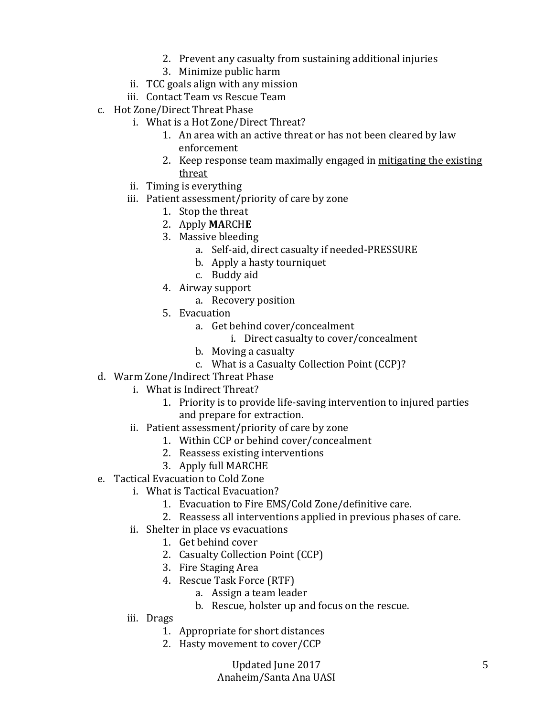- 2. Prevent any casualty from sustaining additional injuries
- 3. Minimize public harm
- ii. TCC goals align with any mission
- iii. Contact Team vs Rescue Team
- c. Hot Zone/Direct Threat Phase
	- i. What is a Hot Zone/Direct Threat?
		- 1. An area with an active threat or has not been cleared by law enforcement
		- 2. Keep response team maximally engaged in mitigating the existing threat
	- ii. Timing is everything
	- iii. Patient assessment/priority of care by zone
		- 1. Stop the threat
		- 2. Apply **MA**RCH**E**
		- 3. Massive bleeding
			- a. Self-aid, direct casualty if needed-PRESSURE
			- b. Apply a hasty tourniquet
			- c. Buddy aid
		- 4. Airway support
			- a. Recovery position
		- 5. Evacuation
			- a. Get behind cover/concealment
				- i. Direct casualty to cover/concealment
			- b. Moving a casualty
			- c. What is a Casualty Collection Point (CCP)?
- d. Warm Zone/Indirect Threat Phase
	- i. What is Indirect Threat?
		- 1. Priority is to provide life-saving intervention to injured parties and prepare for extraction.
	- ii. Patient assessment/priority of care by zone
		- 1. Within CCP or behind cover/concealment
		- 2. Reassess existing interventions
		- 3. Apply full MARCHE
- e. Tactical Evacuation to Cold Zone
	- i. What is Tactical Evacuation?
		- 1. Evacuation to Fire EMS/Cold Zone/definitive care.
		- 2. Reassess all interventions applied in previous phases of care.
		- ii. Shelter in place vs evacuations
			- 1. Get behind cover
			- 2. Casualty Collection Point (CCP)
			- 3. Fire Staging Area
			- 4. Rescue Task Force (RTF)
				- a. Assign a team leader
				- b. Rescue, holster up and focus on the rescue.
	- iii. Drags
		- 1. Appropriate for short distances
		- 2. Hasty movement to cover/CCP

Updated June 2017 Anaheim/Santa Ana UASI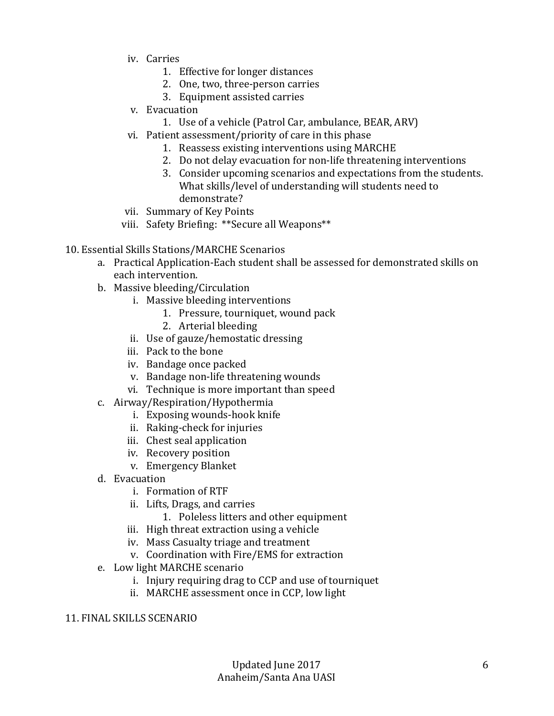- iv. Carries
	- 1. Effective for longer distances
	- 2. One, two, three-person carries
	- 3. Equipment assisted carries
- v. Evacuation
	- 1. Use of a vehicle (Patrol Car, ambulance, BEAR, ARV)
- vi. Patient assessment/priority of care in this phase
	- 1. Reassess existing interventions using MARCHE
	- 2. Do not delay evacuation for non-life threatening interventions
	- 3. Consider upcoming scenarios and expectations from the students. What skills/level of understanding will students need to demonstrate?
- vii. Summary of Key Points
- viii. Safety Briefing: \*\*Secure all Weapons\*\*
- 10. Essential Skills Stations/MARCHE Scenarios
	- a. Practical Application-Each student shall be assessed for demonstrated skills on each intervention.
	- b. Massive bleeding/Circulation
		- i. Massive bleeding interventions
			- 1. Pressure, tourniquet, wound pack
			- 2. Arterial bleeding
		- ii. Use of gauze/hemostatic dressing
		- iii. Pack to the bone
		- iv. Bandage once packed
		- v. Bandage non-life threatening wounds
		- vi. Technique is more important than speed
	- c. Airway/Respiration/Hypothermia
		- i. Exposing wounds-hook knife
		- ii. Raking-check for injuries
		- iii. Chest seal application
		- iv. Recovery position
		- v. Emergency Blanket
	- d. Evacuation
		- i. Formation of RTF
		- ii. Lifts, Drags, and carries
			- 1. Poleless litters and other equipment
		- iii. High threat extraction using a vehicle
		- iv. Mass Casualty triage and treatment
		- v. Coordination with Fire/EMS for extraction
	- e. Low light MARCHE scenario
		- i. Injury requiring drag to CCP and use of tourniquet
		- ii. MARCHE assessment once in CCP, low light

## 11. FINAL SKILLS SCENARIO